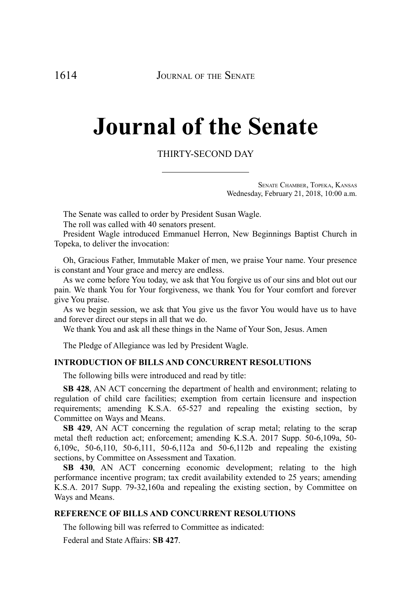# **Journal of the Senate**

# THIRTY-SECOND DAY

SENATE CHAMBER, TOPEKA, KANSAS Wednesday, February 21, 2018, 10:00 a.m.

The Senate was called to order by President Susan Wagle.

The roll was called with 40 senators present.

President Wagle introduced Emmanuel Herron, New Beginnings Baptist Church in Topeka, to deliver the invocation:

Oh, Gracious Father, Immutable Maker of men, we praise Your name. Your presence is constant and Your grace and mercy are endless.

As we come before You today, we ask that You forgive us of our sins and blot out our pain. We thank You for Your forgiveness, we thank You for Your comfort and forever give You praise.

As we begin session, we ask that You give us the favor You would have us to have and forever direct our steps in all that we do.

We thank You and ask all these things in the Name of Your Son, Jesus. Amen

The Pledge of Allegiance was led by President Wagle.

# **INTRODUCTION OF BILLS AND CONCURRENT RESOLUTIONS**

The following bills were introduced and read by title:

**SB 428**, AN ACT concerning the department of health and environment; relating to regulation of child care facilities; exemption from certain licensure and inspection requirements; amending K.S.A. 65-527 and repealing the existing section, by Committee on Ways and Means.

**SB 429**, AN ACT concerning the regulation of scrap metal; relating to the scrap metal theft reduction act; enforcement; amending K.S.A. 2017 Supp. 50-6,109a, 50- 6,109c, 50-6,110, 50-6,111, 50-6,112a and 50-6,112b and repealing the existing sections, by Committee on Assessment and Taxation.

**SB 430**, AN ACT concerning economic development; relating to the high performance incentive program; tax credit availability extended to 25 years; amending K.S.A. 2017 Supp. 79-32,160a and repealing the existing section, by Committee on Ways and Means.

# **REFERENCE OF BILLS AND CONCURRENT RESOLUTIONS**

The following bill was referred to Committee as indicated:

Federal and State Affairs: **SB 427**.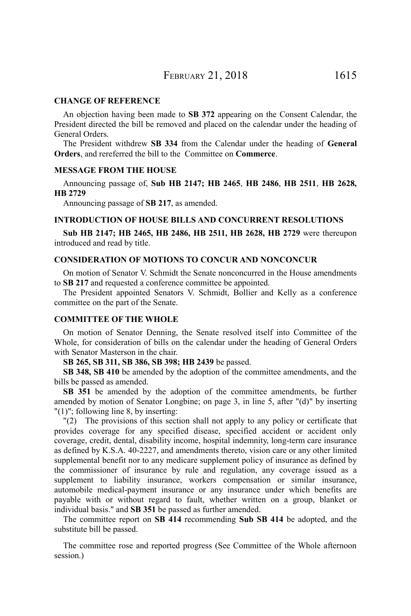#### **CHANGE OF REFERENCE**

An objection having been made to **SB 372** appearing on the Consent Calendar, the President directed the bill be removed and placed on the calendar under the heading of General Orders.

The President withdrew **SB 334** from the Calendar under the heading of **General Orders**, and rereferred the bill to the Committee on **Commerce**.

#### **MESSAGE FROM THE HOUSE**

Announcing passage of, **Sub HB 2147; HB 2465**, **HB 2486**, **HB 2511**, **HB 2628, HB 2729**

Announcing passage of **SB 217**, as amended.

# **INTRODUCTION OF HOUSE BILLS AND CONCURRENT RESOLUTIONS**

**Sub HB 2147; HB 2465, HB 2486, HB 2511, HB 2628, HB 2729** were thereupon introduced and read by title.

#### **CONSIDERATION OF MOTIONS TO CONCUR AND NONCONCUR**

On motion of Senator V. Schmidt the Senate nonconcurred in the House amendments to **SB 217** and requested a conference committee be appointed.

The President appointed Senators V. Schmidt, Bollier and Kelly as a conference committee on the part of the Senate.

# **COMMITTEE OF THE WHOLE**

On motion of Senator Denning, the Senate resolved itself into Committee of the Whole, for consideration of bills on the calendar under the heading of General Orders with Senator Masterson in the chair.

**SB 265, SB 311, SB 386, SB 398; HB 2439** be passed.

**SB 348, SB 410** be amended by the adoption of the committee amendments, and the bills be passed as amended.

**SB 351** be amended by the adoption of the committee amendments, be further amended by motion of Senator Longbine; on page 3, in line 5, after "(d)" by inserting "(1)"; following line 8, by inserting:

"(2) The provisions of this section shall not apply to any policy or certificate that provides coverage for any specified disease, specified accident or accident only coverage, credit, dental, disability income, hospital indemnity, long-term care insurance as defined by K.S.A. 40-2227, and amendments thereto, vision care or any other limited supplemental benefit nor to any medicare supplement policy of insurance as defined by the commissioner of insurance by rule and regulation, any coverage issued as a supplement to liability insurance, workers compensation or similar insurance, automobile medical-payment insurance or any insurance under which benefits are payable with or without regard to fault, whether written on a group, blanket or individual basis." and **SB 351** be passed as further amended.

The committee report on **SB 414** recommending **Sub SB 414** be adopted, and the substitute bill be passed.

The committee rose and reported progress (See Committee of the Whole afternoon session.)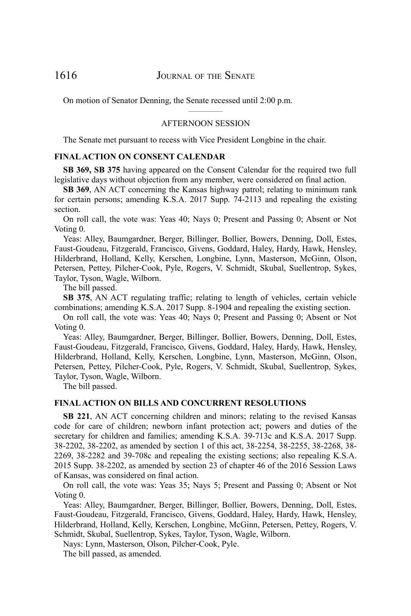On motion of Senator Denning, the Senate recessed until 2:00 p.m.

# $\mathcal{L}_\text{max}$  and  $\mathcal{L}_\text{max}$ AFTERNOON SESSION

The Senate met pursuant to recess with Vice President Longbine in the chair.

#### **FINAL ACTION ON CONSENT CALENDAR**

**SB 369, SB 375** having appeared on the Consent Calendar for the required two full legislative days without objection from any member, were considered on final action.

**SB 369**, AN ACT concerning the Kansas highway patrol; relating to minimum rank for certain persons; amending K.S.A. 2017 Supp. 74-2113 and repealing the existing section.

On roll call, the vote was: Yeas 40; Nays 0; Present and Passing 0; Absent or Not Voting 0.

Yeas: Alley, Baumgardner, Berger, Billinger, Bollier, Bowers, Denning, Doll, Estes, Faust-Goudeau, Fitzgerald, Francisco, Givens, Goddard, Haley, Hardy, Hawk, Hensley, Hilderbrand, Holland, Kelly, Kerschen, Longbine, Lynn, Masterson, McGinn, Olson, Petersen, Pettey, Pilcher-Cook, Pyle, Rogers, V. Schmidt, Skubal, Suellentrop, Sykes, Taylor, Tyson, Wagle, Wilborn.

The bill passed.

**SB 375**, AN ACT regulating traffic; relating to length of vehicles, certain vehicle combinations; amending K.S.A. 2017 Supp. 8-1904 and repealing the existing section.

On roll call, the vote was: Yeas 40; Nays 0; Present and Passing 0; Absent or Not Voting 0.

Yeas: Alley, Baumgardner, Berger, Billinger, Bollier, Bowers, Denning, Doll, Estes, Faust-Goudeau, Fitzgerald, Francisco, Givens, Goddard, Haley, Hardy, Hawk, Hensley, Hilderbrand, Holland, Kelly, Kerschen, Longbine, Lynn, Masterson, McGinn, Olson, Petersen, Pettey, Pilcher-Cook, Pyle, Rogers, V. Schmidt, Skubal, Suellentrop, Sykes, Taylor, Tyson, Wagle, Wilborn.

The bill passed.

#### **FINAL ACTION ON BILLS AND CONCURRENT RESOLUTIONS**

**SB 221**, AN ACT concerning children and minors; relating to the revised Kansas code for care of children; newborn infant protection act; powers and duties of the secretary for children and families; amending K.S.A. 39-713c and K.S.A. 2017 Supp. 38-2202, 38-2202, as amended by section 1 of this act, 38-2254, 38-2255, 38-2268, 38- 2269, 38-2282 and 39-708c and repealing the existing sections; also repealing K.S.A. 2015 Supp. 38-2202, as amended by section 23 of chapter 46 of the 2016 Session Laws of Kansas, was considered on final action.

On roll call, the vote was: Yeas 35; Nays 5; Present and Passing 0; Absent or Not Voting 0.

Yeas: Alley, Baumgardner, Berger, Billinger, Bollier, Bowers, Denning, Doll, Estes, Faust-Goudeau, Fitzgerald, Francisco, Givens, Goddard, Haley, Hardy, Hawk, Hensley, Hilderbrand, Holland, Kelly, Kerschen, Longbine, McGinn, Petersen, Pettey, Rogers, V. Schmidt, Skubal, Suellentrop, Sykes, Taylor, Tyson, Wagle, Wilborn.

Nays: Lynn, Masterson, Olson, Pilcher-Cook, Pyle.

The bill passed, as amended.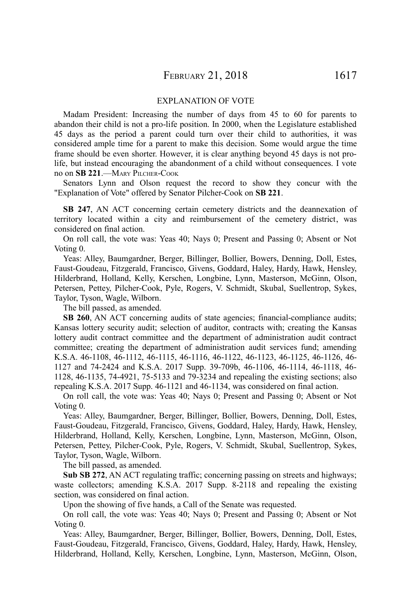#### EXPLANATION OF VOTE

Madam President: Increasing the number of days from 45 to 60 for parents to abandon their child is not a pro-life position. In 2000, when the Legislature established 45 days as the period a parent could turn over their child to authorities, it was considered ample time for a parent to make this decision. Some would argue the time frame should be even shorter. However, it is clear anything beyond 45 days is not prolife, but instead encouraging the abandonment of a child without consequences. I vote no on **SB 221**.—MARY PILCHER-COOK

Senators Lynn and Olson request the record to show they concur with the "Explanation of Vote" offered by Senator Pilcher-Cook on **SB 221**.

**SB 247**, AN ACT concerning certain cemetery districts and the deannexation of territory located within a city and reimbursement of the cemetery district, was considered on final action.

On roll call, the vote was: Yeas 40; Nays 0; Present and Passing 0; Absent or Not Voting 0.

Yeas: Alley, Baumgardner, Berger, Billinger, Bollier, Bowers, Denning, Doll, Estes, Faust-Goudeau, Fitzgerald, Francisco, Givens, Goddard, Haley, Hardy, Hawk, Hensley, Hilderbrand, Holland, Kelly, Kerschen, Longbine, Lynn, Masterson, McGinn, Olson, Petersen, Pettey, Pilcher-Cook, Pyle, Rogers, V. Schmidt, Skubal, Suellentrop, Sykes, Taylor, Tyson, Wagle, Wilborn.

The bill passed, as amended.

**SB 260**, AN ACT concerning audits of state agencies; financial-compliance audits; Kansas lottery security audit; selection of auditor, contracts with; creating the Kansas lottery audit contract committee and the department of administration audit contract committee; creating the department of administration audit services fund; amending K.S.A. 46-1108, 46-1112, 46-1115, 46-1116, 46-1122, 46-1123, 46-1125, 46-1126, 46- 1127 and 74-2424 and K.S.A. 2017 Supp. 39-709b, 46-1106, 46-1114, 46-1118, 46- 1128, 46-1135, 74-4921, 75-5133 and 79-3234 and repealing the existing sections; also repealing K.S.A. 2017 Supp. 46-1121 and 46-1134, was considered on final action.

On roll call, the vote was: Yeas 40; Nays 0; Present and Passing 0; Absent or Not Voting 0.

Yeas: Alley, Baumgardner, Berger, Billinger, Bollier, Bowers, Denning, Doll, Estes, Faust-Goudeau, Fitzgerald, Francisco, Givens, Goddard, Haley, Hardy, Hawk, Hensley, Hilderbrand, Holland, Kelly, Kerschen, Longbine, Lynn, Masterson, McGinn, Olson, Petersen, Pettey, Pilcher-Cook, Pyle, Rogers, V. Schmidt, Skubal, Suellentrop, Sykes, Taylor, Tyson, Wagle, Wilborn.

The bill passed, as amended.

**Sub SB 272**, AN ACT regulating traffic; concerning passing on streets and highways; waste collectors; amending K.S.A. 2017 Supp. 8-2118 and repealing the existing section, was considered on final action.

Upon the showing of five hands, a Call of the Senate was requested.

On roll call, the vote was: Yeas 40; Nays 0; Present and Passing 0; Absent or Not Voting 0.

Yeas: Alley, Baumgardner, Berger, Billinger, Bollier, Bowers, Denning, Doll, Estes, Faust-Goudeau, Fitzgerald, Francisco, Givens, Goddard, Haley, Hardy, Hawk, Hensley, Hilderbrand, Holland, Kelly, Kerschen, Longbine, Lynn, Masterson, McGinn, Olson,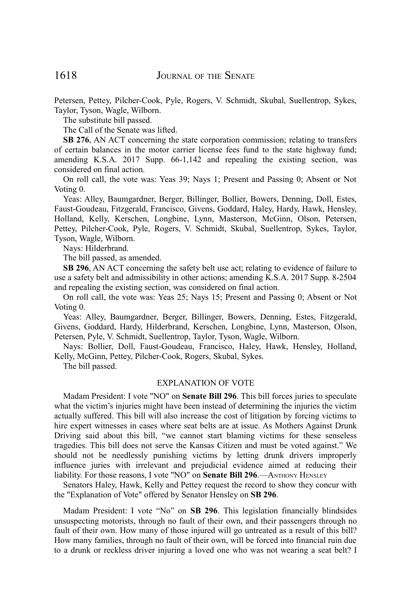Petersen, Pettey, Pilcher-Cook, Pyle, Rogers, V. Schmidt, Skubal, Suellentrop, Sykes, Taylor, Tyson, Wagle, Wilborn.

The substitute bill passed.

The Call of the Senate was lifted.

**SB 276**, AN ACT concerning the state corporation commission; relating to transfers of certain balances in the motor carrier license fees fund to the state highway fund; amending K.S.A. 2017 Supp. 66-1,142 and repealing the existing section, was considered on final action.

On roll call, the vote was: Yeas 39; Nays 1; Present and Passing 0; Absent or Not Voting 0.

Yeas: Alley, Baumgardner, Berger, Billinger, Bollier, Bowers, Denning, Doll, Estes, Faust-Goudeau, Fitzgerald, Francisco, Givens, Goddard, Haley, Hardy, Hawk, Hensley, Holland, Kelly, Kerschen, Longbine, Lynn, Masterson, McGinn, Olson, Petersen, Pettey, Pilcher-Cook, Pyle, Rogers, V. Schmidt, Skubal, Suellentrop, Sykes, Taylor, Tyson, Wagle, Wilborn.

Nays: Hilderbrand.

The bill passed, as amended.

**SB 296**, AN ACT concerning the safety belt use act; relating to evidence of failure to use a safety belt and admissibility in other actions; amending K.S.A. 2017 Supp. 8-2504 and repealing the existing section, was considered on final action.

On roll call, the vote was: Yeas 25; Nays 15; Present and Passing 0; Absent or Not Voting 0.

Yeas: Alley, Baumgardner, Berger, Billinger, Bowers, Denning, Estes, Fitzgerald, Givens, Goddard, Hardy, Hilderbrand, Kerschen, Longbine, Lynn, Masterson, Olson, Petersen, Pyle, V. Schmidt, Suellentrop, Taylor, Tyson, Wagle, Wilborn.

Nays: Bollier, Doll, Faust-Goudeau, Francisco, Haley, Hawk, Hensley, Holland, Kelly, McGinn, Pettey, Pilcher-Cook, Rogers, Skubal, Sykes.

The bill passed.

#### EXPLANATION OF VOTE

Madam President: I vote "NO" on **Senate Bill 296**. This bill forces juries to speculate what the victim's injuries might have been instead of determining the injuries the victim actually suffered. This bill will also increase the cost of litigation by forcing victims to hire expert witnesses in cases where seat belts are at issue. As Mothers Against Drunk Driving said about this bill, "we cannot start blaming victims for these senseless tragedies. This bill does not serve the Kansas Citizen and must be voted against." We should not be needlessly punishing victims by letting drunk drivers improperly influence juries with irrelevant and prejudicial evidence aimed at reducing their liability. For those reasons, I vote "NO" on **Senate Bill 296**.—ANTHONY HENSLEY

Senators Haley, Hawk, Kelly and Pettey request the record to show they concur with the "Explanation of Vote" offered by Senator Hensley on **SB 296**.

Madam President: I vote "No" on **SB 296**. This legislation financially blindsides unsuspecting motorists, through no fault of their own, and their passengers through no fault of their own. How many of those injured will go untreated as a result of this bill? How many families, through no fault of their own, will be forced into financial ruin due to a drunk or reckless driver injuring a loved one who was not wearing a seat belt? I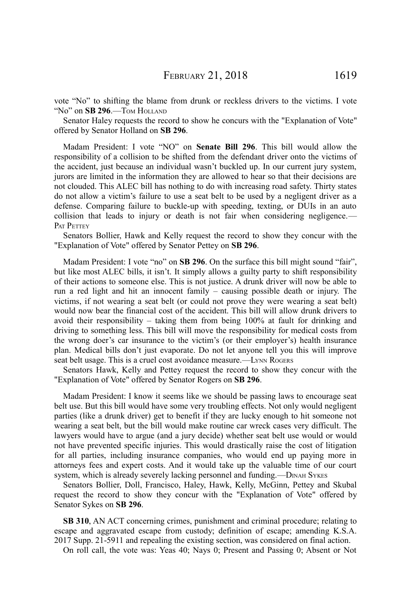vote "No" to shifting the blame from drunk or reckless drivers to the victims. I vote "No" on **SB 296**.—TOM HOLLAND

Senator Haley requests the record to show he concurs with the "Explanation of Vote" offered by Senator Holland on **SB 296**.

Madam President: I vote "NO" on **Senate Bill 296**. This bill would allow the responsibility of a collision to be shifted from the defendant driver onto the victims of the accident, just because an individual wasn't buckled up. In our current jury system, jurors are limited in the information they are allowed to hear so that their decisions are not clouded. This ALEC bill has nothing to do with increasing road safety. Thirty states do not allow a victim's failure to use a seat belt to be used by a negligent driver as a defense. Comparing failure to buckle-up with speeding, texting, or DUIs in an auto collision that leads to injury or death is not fair when considering negligence.— PAT PETTEY

Senators Bollier, Hawk and Kelly request the record to show they concur with the "Explanation of Vote" offered by Senator Pettey on **SB 296**.

Madam President: I vote "no" on **SB 296**. On the surface this bill might sound "fair", but like most ALEC bills, it isn't. It simply allows a guilty party to shift responsibility of their actions to someone else. This is not justice. A drunk driver will now be able to run a red light and hit an innocent family – causing possible death or injury. The victims, if not wearing a seat belt (or could not prove they were wearing a seat belt) would now bear the financial cost of the accident. This bill will allow drunk drivers to avoid their responsibility – taking them from being 100% at fault for drinking and driving to something less. This bill will move the responsibility for medical costs from the wrong doer's car insurance to the victim's (or their employer's) health insurance plan. Medical bills don't just evaporate. Do not let anyone tell you this will improve seat belt usage. This is a cruel cost avoidance measure.—LYNN ROGERS

Senators Hawk, Kelly and Pettey request the record to show they concur with the "Explanation of Vote" offered by Senator Rogers on **SB 296**.

Madam President: I know it seems like we should be passing laws to encourage seat belt use. But this bill would have some very troubling effects. Not only would negligent parties (like a drunk driver) get to benefit if they are lucky enough to hit someone not wearing a seat belt, but the bill would make routine car wreck cases very difficult. The lawyers would have to argue (and a jury decide) whether seat belt use would or would not have prevented specific injuries. This would drastically raise the cost of litigation for all parties, including insurance companies, who would end up paying more in attorneys fees and expert costs. And it would take up the valuable time of our court system, which is already severely lacking personnel and funding.—D<sub>INAH</sub> SYKES

Senators Bollier, Doll, Francisco, Haley, Hawk, Kelly, McGinn, Pettey and Skubal request the record to show they concur with the "Explanation of Vote" offered by Senator Sykes on **SB 296**.

**SB 310**, AN ACT concerning crimes, punishment and criminal procedure; relating to escape and aggravated escape from custody; definition of escape; amending K.S.A. 2017 Supp. 21-5911 and repealing the existing section, was considered on final action.

On roll call, the vote was: Yeas 40; Nays 0; Present and Passing 0; Absent or Not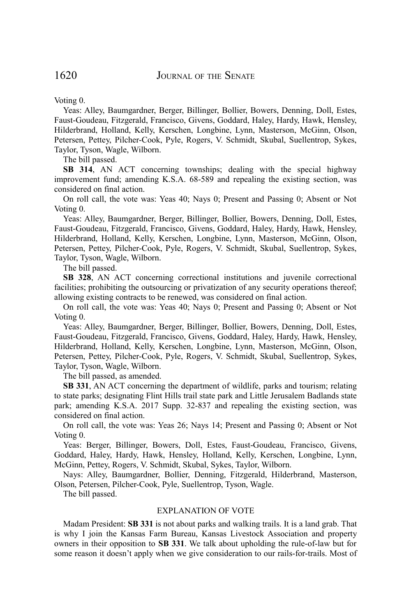Voting 0.

Yeas: Alley, Baumgardner, Berger, Billinger, Bollier, Bowers, Denning, Doll, Estes, Faust-Goudeau, Fitzgerald, Francisco, Givens, Goddard, Haley, Hardy, Hawk, Hensley, Hilderbrand, Holland, Kelly, Kerschen, Longbine, Lynn, Masterson, McGinn, Olson, Petersen, Pettey, Pilcher-Cook, Pyle, Rogers, V. Schmidt, Skubal, Suellentrop, Sykes, Taylor, Tyson, Wagle, Wilborn.

The bill passed.

**SB 314**, AN ACT concerning townships; dealing with the special highway improvement fund; amending K.S.A. 68-589 and repealing the existing section, was considered on final action.

On roll call, the vote was: Yeas 40; Nays 0; Present and Passing 0; Absent or Not Voting 0.

Yeas: Alley, Baumgardner, Berger, Billinger, Bollier, Bowers, Denning, Doll, Estes, Faust-Goudeau, Fitzgerald, Francisco, Givens, Goddard, Haley, Hardy, Hawk, Hensley, Hilderbrand, Holland, Kelly, Kerschen, Longbine, Lynn, Masterson, McGinn, Olson, Petersen, Pettey, Pilcher-Cook, Pyle, Rogers, V. Schmidt, Skubal, Suellentrop, Sykes, Taylor, Tyson, Wagle, Wilborn.

The bill passed.

**SB 328**, AN ACT concerning correctional institutions and juvenile correctional facilities; prohibiting the outsourcing or privatization of any security operations thereof; allowing existing contracts to be renewed, was considered on final action.

On roll call, the vote was: Yeas 40; Nays 0; Present and Passing 0; Absent or Not Voting 0.

Yeas: Alley, Baumgardner, Berger, Billinger, Bollier, Bowers, Denning, Doll, Estes, Faust-Goudeau, Fitzgerald, Francisco, Givens, Goddard, Haley, Hardy, Hawk, Hensley, Hilderbrand, Holland, Kelly, Kerschen, Longbine, Lynn, Masterson, McGinn, Olson, Petersen, Pettey, Pilcher-Cook, Pyle, Rogers, V. Schmidt, Skubal, Suellentrop, Sykes, Taylor, Tyson, Wagle, Wilborn.

The bill passed, as amended.

**SB 331**, AN ACT concerning the department of wildlife, parks and tourism; relating to state parks; designating Flint Hills trail state park and Little Jerusalem Badlands state park; amending K.S.A. 2017 Supp. 32-837 and repealing the existing section, was considered on final action.

On roll call, the vote was: Yeas 26; Nays 14; Present and Passing 0; Absent or Not Voting 0.

Yeas: Berger, Billinger, Bowers, Doll, Estes, Faust-Goudeau, Francisco, Givens, Goddard, Haley, Hardy, Hawk, Hensley, Holland, Kelly, Kerschen, Longbine, Lynn, McGinn, Pettey, Rogers, V. Schmidt, Skubal, Sykes, Taylor, Wilborn.

Nays: Alley, Baumgardner, Bollier, Denning, Fitzgerald, Hilderbrand, Masterson, Olson, Petersen, Pilcher-Cook, Pyle, Suellentrop, Tyson, Wagle.

The bill passed.

#### EXPLANATION OF VOTE

Madam President: **SB 331** is not about parks and walking trails. It is a land grab. That is why I join the Kansas Farm Bureau, Kansas Livestock Association and property owners in their opposition to **SB 331**. We talk about upholding the rule-of-law but for some reason it doesn't apply when we give consideration to our rails-for-trails. Most of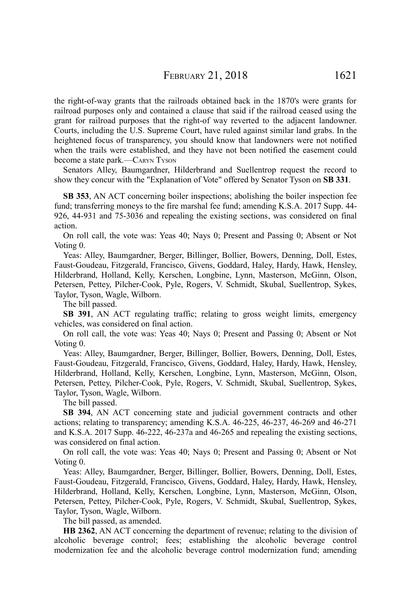the right-of-way grants that the railroads obtained back in the 1870's were grants for railroad purposes only and contained a clause that said if the railroad ceased using the grant for railroad purposes that the right-of way reverted to the adjacent landowner. Courts, including the U.S. Supreme Court, have ruled against similar land grabs. In the heightened focus of transparency, you should know that landowners were not notified when the trails were established, and they have not been notified the easement could become a state park.—CARYN TYSON

Senators Alley, Baumgardner, Hilderbrand and Suellentrop request the record to show they concur with the "Explanation of Vote" offered by Senator Tyson on **SB 331**.

**SB 353**, AN ACT concerning boiler inspections; abolishing the boiler inspection fee fund; transferring moneys to the fire marshal fee fund; amending K.S.A. 2017 Supp. 44- 926, 44-931 and 75-3036 and repealing the existing sections, was considered on final action.

On roll call, the vote was: Yeas 40; Nays 0; Present and Passing 0; Absent or Not Voting 0.

Yeas: Alley, Baumgardner, Berger, Billinger, Bollier, Bowers, Denning, Doll, Estes, Faust-Goudeau, Fitzgerald, Francisco, Givens, Goddard, Haley, Hardy, Hawk, Hensley, Hilderbrand, Holland, Kelly, Kerschen, Longbine, Lynn, Masterson, McGinn, Olson, Petersen, Pettey, Pilcher-Cook, Pyle, Rogers, V. Schmidt, Skubal, Suellentrop, Sykes, Taylor, Tyson, Wagle, Wilborn.

The bill passed.

**SB 391**, AN ACT regulating traffic; relating to gross weight limits, emergency vehicles, was considered on final action.

On roll call, the vote was: Yeas 40; Nays 0; Present and Passing 0; Absent or Not Voting 0.

Yeas: Alley, Baumgardner, Berger, Billinger, Bollier, Bowers, Denning, Doll, Estes, Faust-Goudeau, Fitzgerald, Francisco, Givens, Goddard, Haley, Hardy, Hawk, Hensley, Hilderbrand, Holland, Kelly, Kerschen, Longbine, Lynn, Masterson, McGinn, Olson, Petersen, Pettey, Pilcher-Cook, Pyle, Rogers, V. Schmidt, Skubal, Suellentrop, Sykes, Taylor, Tyson, Wagle, Wilborn.

The bill passed.

**SB 394**, AN ACT concerning state and judicial government contracts and other actions; relating to transparency; amending K.S.A. 46-225, 46-237, 46-269 and 46-271 and K.S.A. 2017 Supp. 46-222, 46-237a and 46-265 and repealing the existing sections, was considered on final action.

On roll call, the vote was: Yeas 40; Nays 0; Present and Passing 0; Absent or Not Voting 0.

Yeas: Alley, Baumgardner, Berger, Billinger, Bollier, Bowers, Denning, Doll, Estes, Faust-Goudeau, Fitzgerald, Francisco, Givens, Goddard, Haley, Hardy, Hawk, Hensley, Hilderbrand, Holland, Kelly, Kerschen, Longbine, Lynn, Masterson, McGinn, Olson, Petersen, Pettey, Pilcher-Cook, Pyle, Rogers, V. Schmidt, Skubal, Suellentrop, Sykes, Taylor, Tyson, Wagle, Wilborn.

The bill passed, as amended.

**HB 2362**, AN ACT concerning the department of revenue; relating to the division of alcoholic beverage control; fees; establishing the alcoholic beverage control modernization fee and the alcoholic beverage control modernization fund; amending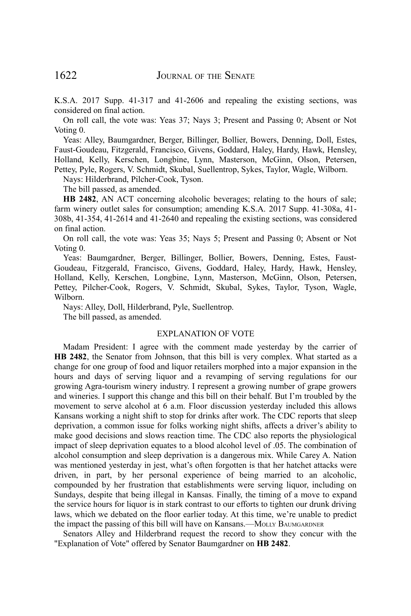K.S.A. 2017 Supp. 41-317 and 41-2606 and repealing the existing sections, was considered on final action.

On roll call, the vote was: Yeas 37; Nays 3; Present and Passing 0; Absent or Not Voting 0.

Yeas: Alley, Baumgardner, Berger, Billinger, Bollier, Bowers, Denning, Doll, Estes, Faust-Goudeau, Fitzgerald, Francisco, Givens, Goddard, Haley, Hardy, Hawk, Hensley, Holland, Kelly, Kerschen, Longbine, Lynn, Masterson, McGinn, Olson, Petersen, Pettey, Pyle, Rogers, V. Schmidt, Skubal, Suellentrop, Sykes, Taylor, Wagle, Wilborn.

Nays: Hilderbrand, Pilcher-Cook, Tyson.

The bill passed, as amended.

**HB 2482**, AN ACT concerning alcoholic beverages; relating to the hours of sale; farm winery outlet sales for consumption; amending K.S.A. 2017 Supp. 41-308a, 41- 308b, 41-354, 41-2614 and 41-2640 and repealing the existing sections, was considered on final action.

On roll call, the vote was: Yeas 35; Nays 5; Present and Passing 0; Absent or Not Voting 0.

Yeas: Baumgardner, Berger, Billinger, Bollier, Bowers, Denning, Estes, Faust-Goudeau, Fitzgerald, Francisco, Givens, Goddard, Haley, Hardy, Hawk, Hensley, Holland, Kelly, Kerschen, Longbine, Lynn, Masterson, McGinn, Olson, Petersen, Pettey, Pilcher-Cook, Rogers, V. Schmidt, Skubal, Sykes, Taylor, Tyson, Wagle, Wilborn.

Nays: Alley, Doll, Hilderbrand, Pyle, Suellentrop.

The bill passed, as amended.

# EXPLANATION OF VOTE

Madam President: I agree with the comment made yesterday by the carrier of **HB 2482**, the Senator from Johnson, that this bill is very complex. What started as a change for one group of food and liquor retailers morphed into a major expansion in the hours and days of serving liquor and a revamping of serving regulations for our growing Agra-tourism winery industry. I represent a growing number of grape growers and wineries. I support this change and this bill on their behalf. But I'm troubled by the movement to serve alcohol at 6 a.m. Floor discussion yesterday included this allows Kansans working a night shift to stop for drinks after work. The CDC reports that sleep deprivation, a common issue for folks working night shifts, affects a driver's ability to make good decisions and slows reaction time. The CDC also reports the physiological impact of sleep deprivation equates to a blood alcohol level of .05. The combination of alcohol consumption and sleep deprivation is a dangerous mix. While Carey A. Nation was mentioned yesterday in jest, what's often forgotten is that her hatchet attacks were driven, in part, by her personal experience of being married to an alcoholic, compounded by her frustration that establishments were serving liquor, including on Sundays, despite that being illegal in Kansas. Finally, the timing of a move to expand the service hours for liquor is in stark contrast to our efforts to tighten our drunk driving laws, which we debated on the floor earlier today. At this time, we're unable to predict the impact the passing of this bill will have on Kansans.—MOLLY BAUMGARDNER

Senators Alley and Hilderbrand request the record to show they concur with the "Explanation of Vote" offered by Senator Baumgardner on **HB 2482**.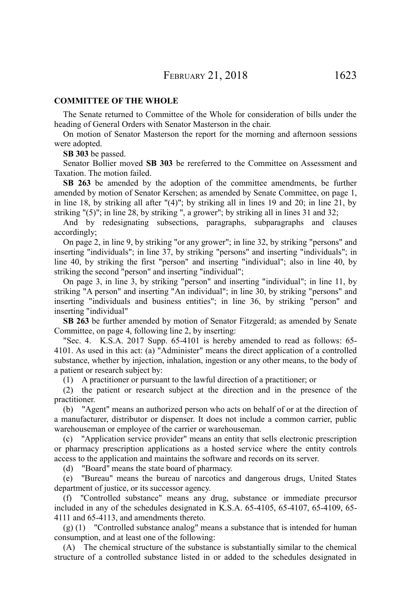# **COMMITTEE OF THE WHOLE**

The Senate returned to Committee of the Whole for consideration of bills under the heading of General Orders with Senator Masterson in the chair.

On motion of Senator Masterson the report for the morning and afternoon sessions were adopted.

**SB 303** be passed.

Senator Bollier moved **SB 303** be rereferred to the Committee on Assessment and Taxation. The motion failed.

**SB 263** be amended by the adoption of the committee amendments, be further amended by motion of Senator Kerschen; as amended by Senate Committee, on page 1, in line 18, by striking all after "(4)"; by striking all in lines 19 and 20; in line 21, by striking  $(5)$ "; in line 28, by striking ", a grower"; by striking all in lines 31 and 32;

And by redesignating subsections, paragraphs, subparagraphs and clauses accordingly;

On page 2, in line 9, by striking "or any grower"; in line 32, by striking "persons" and inserting "individuals"; in line 37, by striking "persons" and inserting "individuals"; in line 40, by striking the first "person" and inserting "individual"; also in line 40, by striking the second "person" and inserting "individual";

On page 3, in line 3, by striking "person" and inserting "individual"; in line 11, by striking "A person" and inserting "An individual"; in line 30, by striking "persons" and inserting "individuals and business entities"; in line 36, by striking "person" and inserting "individual"

**SB 263** be further amended by motion of Senator Fitzgerald; as amended by Senate Committee, on page 4, following line 2, by inserting:

"Sec. 4. K.S.A. 2017 Supp. 65-4101 is hereby amended to read as follows: 65- 4101. As used in this act: (a) "Administer" means the direct application of a controlled substance, whether by injection, inhalation, ingestion or any other means, to the body of a patient or research subject by:

(1) A practitioner or pursuant to the lawful direction of a practitioner; or

(2) the patient or research subject at the direction and in the presence of the practitioner.

(b) "Agent" means an authorized person who acts on behalf of or at the direction of a manufacturer, distributor or dispenser. It does not include a common carrier, public warehouseman or employee of the carrier or warehouseman.

(c) "Application service provider" means an entity that sells electronic prescription or pharmacy prescription applications as a hosted service where the entity controls access to the application and maintains the software and records on its server.

(d) "Board" means the state board of pharmacy.

(e) "Bureau" means the bureau of narcotics and dangerous drugs, United States department of justice, or its successor agency.

(f) "Controlled substance" means any drug, substance or immediate precursor included in any of the schedules designated in K.S.A. 65-4105, 65-4107, 65-4109, 65- 4111 and 65-4113, and amendments thereto.

(g) (1) "Controlled substance analog" means a substance that is intended for human consumption, and at least one of the following:

(A) The chemical structure of the substance is substantially similar to the chemical structure of a controlled substance listed in or added to the schedules designated in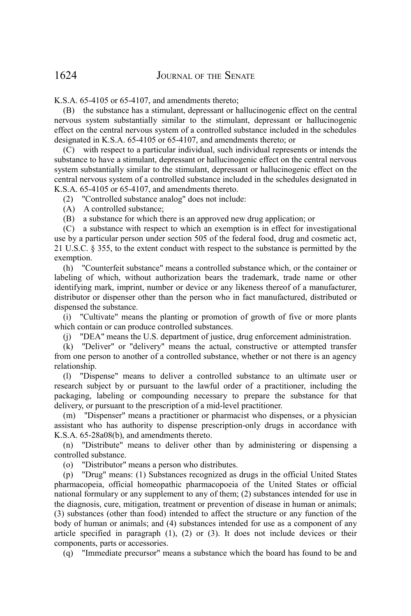K.S.A. 65-4105 or 65-4107, and amendments thereto;

(B) the substance has a stimulant, depressant or hallucinogenic effect on the central nervous system substantially similar to the stimulant, depressant or hallucinogenic effect on the central nervous system of a controlled substance included in the schedules designated in K.S.A. 65-4105 or 65-4107, and amendments thereto; or

(C) with respect to a particular individual, such individual represents or intends the substance to have a stimulant, depressant or hallucinogenic effect on the central nervous system substantially similar to the stimulant, depressant or hallucinogenic effect on the central nervous system of a controlled substance included in the schedules designated in K.S.A. 65-4105 or 65-4107, and amendments thereto.

(2) "Controlled substance analog" does not include:

(A) A controlled substance;

(B) a substance for which there is an approved new drug application; or

(C) a substance with respect to which an exemption is in effect for investigational use by a particular person under section 505 of the federal food, drug and cosmetic act, 21 U.S.C. § 355, to the extent conduct with respect to the substance is permitted by the exemption.

(h) "Counterfeit substance" means a controlled substance which, or the container or labeling of which, without authorization bears the trademark, trade name or other identifying mark, imprint, number or device or any likeness thereof of a manufacturer, distributor or dispenser other than the person who in fact manufactured, distributed or dispensed the substance.

(i) "Cultivate" means the planting or promotion of growth of five or more plants which contain or can produce controlled substances.

(j) "DEA" means the U.S. department of justice, drug enforcement administration.

(k) "Deliver" or "delivery" means the actual, constructive or attempted transfer from one person to another of a controlled substance, whether or not there is an agency relationship.

(l) "Dispense" means to deliver a controlled substance to an ultimate user or research subject by or pursuant to the lawful order of a practitioner, including the packaging, labeling or compounding necessary to prepare the substance for that delivery, or pursuant to the prescription of a mid-level practitioner.

(m) "Dispenser" means a practitioner or pharmacist who dispenses, or a physician assistant who has authority to dispense prescription-only drugs in accordance with K.S.A. 65-28a08(b), and amendments thereto.

(n) "Distribute" means to deliver other than by administering or dispensing a controlled substance.

(o) "Distributor" means a person who distributes.

(p) "Drug" means: (1) Substances recognized as drugs in the official United States pharmacopeia, official homeopathic pharmacopoeia of the United States or official national formulary or any supplement to any of them; (2) substances intended for use in the diagnosis, cure, mitigation, treatment or prevention of disease in human or animals; (3) substances (other than food) intended to affect the structure or any function of the body of human or animals; and (4) substances intended for use as a component of any article specified in paragraph (1), (2) or (3). It does not include devices or their components, parts or accessories.

(q) "Immediate precursor" means a substance which the board has found to be and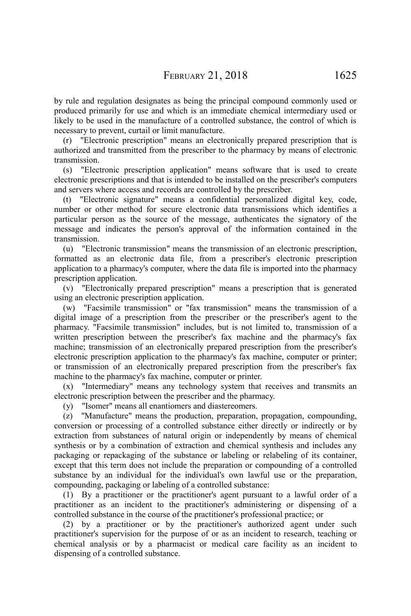by rule and regulation designates as being the principal compound commonly used or produced primarily for use and which is an immediate chemical intermediary used or likely to be used in the manufacture of a controlled substance, the control of which is necessary to prevent, curtail or limit manufacture.

(r) "Electronic prescription" means an electronically prepared prescription that is authorized and transmitted from the prescriber to the pharmacy by means of electronic transmission.

(s) "Electronic prescription application" means software that is used to create electronic prescriptions and that is intended to be installed on the prescriber's computers and servers where access and records are controlled by the prescriber.

(t) "Electronic signature" means a confidential personalized digital key, code, number or other method for secure electronic data transmissions which identifies a particular person as the source of the message, authenticates the signatory of the message and indicates the person's approval of the information contained in the transmission.

(u) "Electronic transmission" means the transmission of an electronic prescription, formatted as an electronic data file, from a prescriber's electronic prescription application to a pharmacy's computer, where the data file is imported into the pharmacy prescription application.

(v) "Electronically prepared prescription" means a prescription that is generated using an electronic prescription application.

(w) "Facsimile transmission" or "fax transmission" means the transmission of a digital image of a prescription from the prescriber or the prescriber's agent to the pharmacy. "Facsimile transmission" includes, but is not limited to, transmission of a written prescription between the prescriber's fax machine and the pharmacy's fax machine; transmission of an electronically prepared prescription from the prescriber's electronic prescription application to the pharmacy's fax machine, computer or printer; or transmission of an electronically prepared prescription from the prescriber's fax machine to the pharmacy's fax machine, computer or printer.

(x) "Intermediary" means any technology system that receives and transmits an electronic prescription between the prescriber and the pharmacy.

(y) "Isomer" means all enantiomers and diastereomers.

(z) "Manufacture" means the production, preparation, propagation, compounding, conversion or processing of a controlled substance either directly or indirectly or by extraction from substances of natural origin or independently by means of chemical synthesis or by a combination of extraction and chemical synthesis and includes any packaging or repackaging of the substance or labeling or relabeling of its container, except that this term does not include the preparation or compounding of a controlled substance by an individual for the individual's own lawful use or the preparation, compounding, packaging or labeling of a controlled substance:

(1) By a practitioner or the practitioner's agent pursuant to a lawful order of a practitioner as an incident to the practitioner's administering or dispensing of a controlled substance in the course of the practitioner's professional practice; or

(2) by a practitioner or by the practitioner's authorized agent under such practitioner's supervision for the purpose of or as an incident to research, teaching or chemical analysis or by a pharmacist or medical care facility as an incident to dispensing of a controlled substance.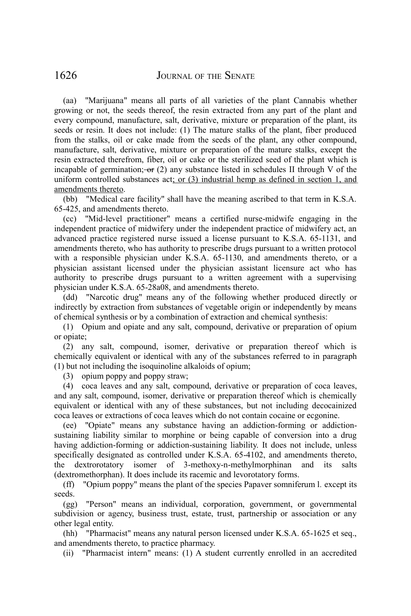(aa) "Marijuana" means all parts of all varieties of the plant Cannabis whether growing or not, the seeds thereof, the resin extracted from any part of the plant and every compound, manufacture, salt, derivative, mixture or preparation of the plant, its seeds or resin. It does not include: (1) The mature stalks of the plant, fiber produced from the stalks, oil or cake made from the seeds of the plant, any other compound, manufacture, salt, derivative, mixture or preparation of the mature stalks, except the resin extracted therefrom, fiber, oil or cake or the sterilized seed of the plant which is incapable of germination;  $-\Theta$  (2) any substance listed in schedules II through V of the uniform controlled substances act; or (3) industrial hemp as defined in section 1, and amendments thereto.

(bb) "Medical care facility" shall have the meaning ascribed to that term in K.S.A. 65-425, and amendments thereto.

(cc) "Mid-level practitioner" means a certified nurse-midwife engaging in the independent practice of midwifery under the independent practice of midwifery act, an advanced practice registered nurse issued a license pursuant to K.S.A. 65-1131, and amendments thereto, who has authority to prescribe drugs pursuant to a written protocol with a responsible physician under K.S.A. 65-1130, and amendments thereto, or a physician assistant licensed under the physician assistant licensure act who has authority to prescribe drugs pursuant to a written agreement with a supervising physician under K.S.A. 65-28a08, and amendments thereto.

(dd) "Narcotic drug" means any of the following whether produced directly or indirectly by extraction from substances of vegetable origin or independently by means of chemical synthesis or by a combination of extraction and chemical synthesis:

(1) Opium and opiate and any salt, compound, derivative or preparation of opium or opiate;

(2) any salt, compound, isomer, derivative or preparation thereof which is chemically equivalent or identical with any of the substances referred to in paragraph (1) but not including the isoquinoline alkaloids of opium;

(3) opium poppy and poppy straw;

(4) coca leaves and any salt, compound, derivative or preparation of coca leaves, and any salt, compound, isomer, derivative or preparation thereof which is chemically equivalent or identical with any of these substances, but not including decocainized coca leaves or extractions of coca leaves which do not contain cocaine or ecgonine.

(ee) "Opiate" means any substance having an addiction-forming or addictionsustaining liability similar to morphine or being capable of conversion into a drug having addiction-forming or addiction-sustaining liability. It does not include, unless specifically designated as controlled under K.S.A. 65-4102, and amendments thereto, the dextrorotatory isomer of 3-methoxy-n-methylmorphinan and its salts (dextromethorphan). It does include its racemic and levorotatory forms.

(ff) "Opium poppy" means the plant of the species Papaver somniferum l*.* except its seeds.

(gg) "Person" means an individual, corporation, government, or governmental subdivision or agency, business trust, estate, trust, partnership or association or any other legal entity.

(hh) "Pharmacist" means any natural person licensed under K.S.A. 65-1625 et seq., and amendments thereto, to practice pharmacy.

(ii) "Pharmacist intern" means: (1) A student currently enrolled in an accredited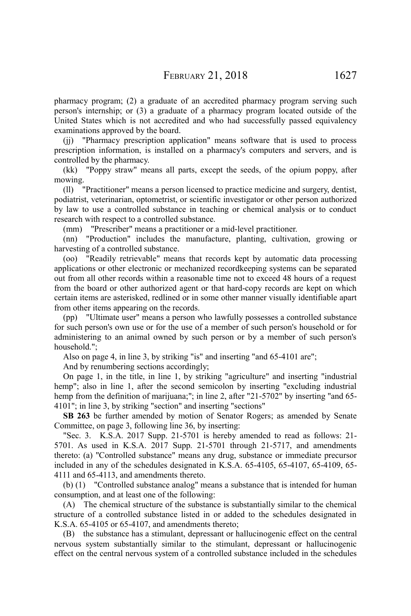pharmacy program; (2) a graduate of an accredited pharmacy program serving such person's internship; or (3) a graduate of a pharmacy program located outside of the United States which is not accredited and who had successfully passed equivalency examinations approved by the board.

(jj) "Pharmacy prescription application" means software that is used to process prescription information, is installed on a pharmacy's computers and servers, and is controlled by the pharmacy.

(kk) "Poppy straw" means all parts, except the seeds, of the opium poppy, after mowing.

(ll) "Practitioner" means a person licensed to practice medicine and surgery, dentist, podiatrist, veterinarian, optometrist, or scientific investigator or other person authorized by law to use a controlled substance in teaching or chemical analysis or to conduct research with respect to a controlled substance.

(mm) "Prescriber" means a practitioner or a mid-level practitioner.

(nn) "Production" includes the manufacture, planting, cultivation, growing or harvesting of a controlled substance.

(oo) "Readily retrievable" means that records kept by automatic data processing applications or other electronic or mechanized recordkeeping systems can be separated out from all other records within a reasonable time not to exceed 48 hours of a request from the board or other authorized agent or that hard-copy records are kept on which certain items are asterisked, redlined or in some other manner visually identifiable apart from other items appearing on the records.

(pp) "Ultimate user" means a person who lawfully possesses a controlled substance for such person's own use or for the use of a member of such person's household or for administering to an animal owned by such person or by a member of such person's household.";

Also on page 4, in line 3, by striking "is" and inserting "and 65-4101 are";

And by renumbering sections accordingly;

On page 1, in the title, in line 1, by striking "agriculture" and inserting "industrial hemp"; also in line 1, after the second semicolon by inserting "excluding industrial hemp from the definition of marijuana;"; in line 2, after "21-5702" by inserting "and 65-4101"; in line 3, by striking "section" and inserting "sections"

**SB 263** be further amended by motion of Senator Rogers; as amended by Senate Committee, on page 3, following line 36, by inserting:

"Sec. 3. K.S.A. 2017 Supp. 21-5701 is hereby amended to read as follows: 21- 5701. As used in K.S.A. 2017 Supp. 21-5701 through 21-5717, and amendments thereto: (a) "Controlled substance" means any drug, substance or immediate precursor included in any of the schedules designated in K.S.A. 65-4105, 65-4107, 65-4109, 65- 4111 and 65-4113, and amendments thereto.

(b) (1) "Controlled substance analog" means a substance that is intended for human consumption, and at least one of the following:

(A) The chemical structure of the substance is substantially similar to the chemical structure of a controlled substance listed in or added to the schedules designated in K.S.A. 65-4105 or 65-4107, and amendments thereto;

(B) the substance has a stimulant, depressant or hallucinogenic effect on the central nervous system substantially similar to the stimulant, depressant or hallucinogenic effect on the central nervous system of a controlled substance included in the schedules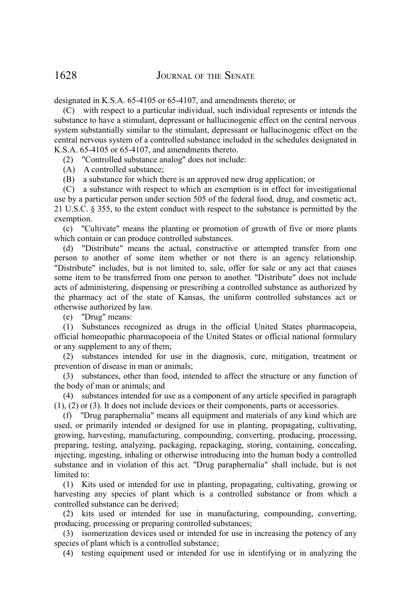designated in K.S.A. 65-4105 or 65-4107, and amendments thereto; or

(C) with respect to a particular individual, such individual represents or intends the substance to have a stimulant, depressant or hallucinogenic effect on the central nervous system substantially similar to the stimulant, depressant or hallucinogenic effect on the central nervous system of a controlled substance included in the schedules designated in K.S.A. 65-4105 or 65-4107, and amendments thereto.

(2) "Controlled substance analog" does not include:

(A) A controlled substance;

(B) a substance for which there is an approved new drug application; or

(C) a substance with respect to which an exemption is in effect for investigational use by a particular person under section 505 of the federal food, drug, and cosmetic act, 21 U.S.C. § 355, to the extent conduct with respect to the substance is permitted by the exemption.

(c) "Cultivate" means the planting or promotion of growth of five or more plants which contain or can produce controlled substances.

(d) "Distribute" means the actual, constructive or attempted transfer from one person to another of some item whether or not there is an agency relationship. "Distribute" includes, but is not limited to, sale, offer for sale or any act that causes some item to be transferred from one person to another. "Distribute" does not include acts of administering, dispensing or prescribing a controlled substance as authorized by the pharmacy act of the state of Kansas, the uniform controlled substances act or otherwise authorized by law.

(e) "Drug" means:

(1) Substances recognized as drugs in the official United States pharmacopeia, official homeopathic pharmacopoeia of the United States or official national formulary or any supplement to any of them;

(2) substances intended for use in the diagnosis, cure, mitigation, treatment or prevention of disease in man or animals;

(3) substances, other than food, intended to affect the structure or any function of the body of man or animals; and

(4) substances intended for use as a component of any article specified in paragraph (1), (2) or (3). It does not include devices or their components, parts or accessories.

(f) "Drug paraphernalia" means all equipment and materials of any kind which are used, or primarily intended or designed for use in planting, propagating, cultivating, growing, harvesting, manufacturing, compounding, converting, producing, processing, preparing, testing, analyzing, packaging, repackaging, storing, containing, concealing, injecting, ingesting, inhaling or otherwise introducing into the human body a controlled substance and in violation of this act. "Drug paraphernalia" shall include, but is not limited to:

(1) Kits used or intended for use in planting, propagating, cultivating, growing or harvesting any species of plant which is a controlled substance or from which a controlled substance can be derived;

(2) kits used or intended for use in manufacturing, compounding, converting, producing, processing or preparing controlled substances;

(3) isomerization devices used or intended for use in increasing the potency of any species of plant which is a controlled substance;

(4) testing equipment used or intended for use in identifying or in analyzing the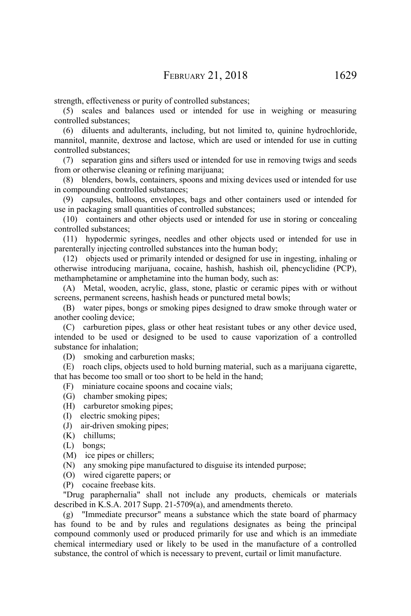strength, effectiveness or purity of controlled substances;

(5) scales and balances used or intended for use in weighing or measuring controlled substances;

(6) diluents and adulterants, including, but not limited to, quinine hydrochloride, mannitol, mannite, dextrose and lactose, which are used or intended for use in cutting controlled substances;

(7) separation gins and sifters used or intended for use in removing twigs and seeds from or otherwise cleaning or refining marijuana;

(8) blenders, bowls, containers, spoons and mixing devices used or intended for use in compounding controlled substances;

(9) capsules, balloons, envelopes, bags and other containers used or intended for use in packaging small quantities of controlled substances;

(10) containers and other objects used or intended for use in storing or concealing controlled substances;

(11) hypodermic syringes, needles and other objects used or intended for use in parenterally injecting controlled substances into the human body;

(12) objects used or primarily intended or designed for use in ingesting, inhaling or otherwise introducing marijuana, cocaine, hashish, hashish oil, phencyclidine (PCP), methamphetamine or amphetamine into the human body, such as:

(A) Metal, wooden, acrylic, glass, stone, plastic or ceramic pipes with or without screens, permanent screens, hashish heads or punctured metal bowls;

(B) water pipes, bongs or smoking pipes designed to draw smoke through water or another cooling device;

(C) carburetion pipes, glass or other heat resistant tubes or any other device used, intended to be used or designed to be used to cause vaporization of a controlled substance for inhalation;

(D) smoking and carburetion masks;

(E) roach clips, objects used to hold burning material, such as a marijuana cigarette, that has become too small or too short to be held in the hand;

(F) miniature cocaine spoons and cocaine vials;

- (G) chamber smoking pipes;
- (H) carburetor smoking pipes;
- (I) electric smoking pipes;
- (J) air-driven smoking pipes;
- (K) chillums;
- (L) bongs;
- (M) ice pipes or chillers;
- (N) any smoking pipe manufactured to disguise its intended purpose;
- (O) wired cigarette papers; or
- (P) cocaine freebase kits.

"Drug paraphernalia" shall not include any products, chemicals or materials described in K.S.A. 2017 Supp. 21-5709(a), and amendments thereto.

(g) "Immediate precursor" means a substance which the state board of pharmacy has found to be and by rules and regulations designates as being the principal compound commonly used or produced primarily for use and which is an immediate chemical intermediary used or likely to be used in the manufacture of a controlled substance, the control of which is necessary to prevent, curtail or limit manufacture.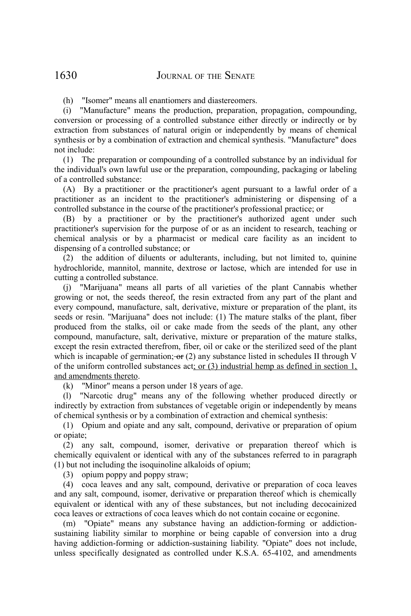(h) "Isomer" means all enantiomers and diastereomers.

(i) "Manufacture" means the production, preparation, propagation, compounding, conversion or processing of a controlled substance either directly or indirectly or by extraction from substances of natural origin or independently by means of chemical synthesis or by a combination of extraction and chemical synthesis. "Manufacture" does not include:

(1) The preparation or compounding of a controlled substance by an individual for the individual's own lawful use or the preparation, compounding, packaging or labeling of a controlled substance:

(A) By a practitioner or the practitioner's agent pursuant to a lawful order of a practitioner as an incident to the practitioner's administering or dispensing of a controlled substance in the course of the practitioner's professional practice; or

(B) by a practitioner or by the practitioner's authorized agent under such practitioner's supervision for the purpose of or as an incident to research, teaching or chemical analysis or by a pharmacist or medical care facility as an incident to dispensing of a controlled substance; or

(2) the addition of diluents or adulterants, including, but not limited to, quinine hydrochloride, mannitol, mannite, dextrose or lactose, which are intended for use in cutting a controlled substance.

(j) "Marijuana" means all parts of all varieties of the plant Cannabis whether growing or not, the seeds thereof, the resin extracted from any part of the plant and every compound, manufacture, salt, derivative, mixture or preparation of the plant, its seeds or resin. "Marijuana" does not include: (1) The mature stalks of the plant, fiber produced from the stalks, oil or cake made from the seeds of the plant, any other compound, manufacture, salt, derivative, mixture or preparation of the mature stalks, except the resin extracted therefrom, fiber, oil or cake or the sterilized seed of the plant which is incapable of germination;  $\Theta$  (2) any substance listed in schedules II through V of the uniform controlled substances act; or  $(3)$  industrial hemp as defined in section 1, and amendments thereto.

(k) "Minor" means a person under 18 years of age.

(l) "Narcotic drug" means any of the following whether produced directly or indirectly by extraction from substances of vegetable origin or independently by means of chemical synthesis or by a combination of extraction and chemical synthesis:

(1) Opium and opiate and any salt, compound, derivative or preparation of opium or opiate;

(2) any salt, compound, isomer, derivative or preparation thereof which is chemically equivalent or identical with any of the substances referred to in paragraph (1) but not including the isoquinoline alkaloids of opium;

(3) opium poppy and poppy straw;

(4) coca leaves and any salt, compound, derivative or preparation of coca leaves and any salt, compound, isomer, derivative or preparation thereof which is chemically equivalent or identical with any of these substances, but not including decocainized coca leaves or extractions of coca leaves which do not contain cocaine or ecgonine.

(m) "Opiate" means any substance having an addiction-forming or addictionsustaining liability similar to morphine or being capable of conversion into a drug having addiction-forming or addiction-sustaining liability. "Opiate" does not include, unless specifically designated as controlled under K.S.A. 65-4102, and amendments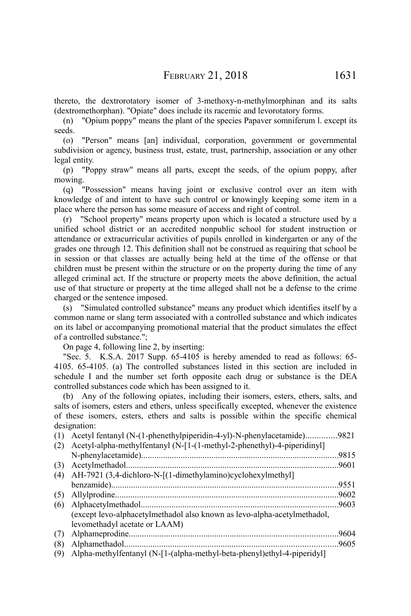thereto, the dextrorotatory isomer of 3-methoxy-n-methylmorphinan and its salts (dextromethorphan). "Opiate" does include its racemic and levorotatory forms.

(n) "Opium poppy" means the plant of the species Papaver somniferum l. except its seeds.

(o) "Person" means [an] individual, corporation, government or governmental subdivision or agency, business trust, estate, trust, partnership, association or any other legal entity.

(p) "Poppy straw" means all parts, except the seeds, of the opium poppy, after mowing.

(q) "Possession" means having joint or exclusive control over an item with knowledge of and intent to have such control or knowingly keeping some item in a place where the person has some measure of access and right of control.

(r) "School property" means property upon which is located a structure used by a unified school district or an accredited nonpublic school for student instruction or attendance or extracurricular activities of pupils enrolled in kindergarten or any of the grades one through 12. This definition shall not be construed as requiring that school be in session or that classes are actually being held at the time of the offense or that children must be present within the structure or on the property during the time of any alleged criminal act. If the structure or property meets the above definition, the actual use of that structure or property at the time alleged shall not be a defense to the crime charged or the sentence imposed.

(s) "Simulated controlled substance" means any product which identifies itself by a common name or slang term associated with a controlled substance and which indicates on its label or accompanying promotional material that the product simulates the effect of a controlled substance.";

On page 4, following line 2, by inserting:

"Sec. 5. K.S.A. 2017 Supp. 65-4105 is hereby amended to read as follows: 65- 4105. 65-4105. (a) The controlled substances listed in this section are included in schedule I and the number set forth opposite each drug or substance is the DEA controlled substances code which has been assigned to it.

(b) Any of the following opiates, including their isomers, esters, ethers, salts, and salts of isomers, esters and ethers, unless specifically excepted, whenever the existence of these isomers, esters, ethers and salts is possible within the specific chemical designation:

(1) Acetyl fentanyl (N-(1-phenethylpiperidin-4-yl)-N-phenylacetamide)..............9821 (2) Acetyl-alpha-methylfentanyl (N-[1-(1-methyl-2-phenethyl)-4-piperidinyl] N-phenylacetamide)..........................................................................................9815 (3) Acetylmethadol.................................................................................................9601 (4) AH-7921 (3,4-dichloro-N-[(1-dimethylamino)cyclohexylmethyl] benzamide).......................................................................................................9551 (5) Allylprodine......................................................................................................9602 (6) Alphacetylmethadol..........................................................................................9603 (except levo-alphacetylmethadol also known as levo-alpha-acetylmethadol, levomethadyl acetate or LAAM) (7) Alphameprodine...............................................................................................9604 (8) Alphamethadol.................................................................................................9605

(9) Alpha-methylfentanyl (N-[1-(alpha-methyl-beta-phenyl)ethyl-4-piperidyl]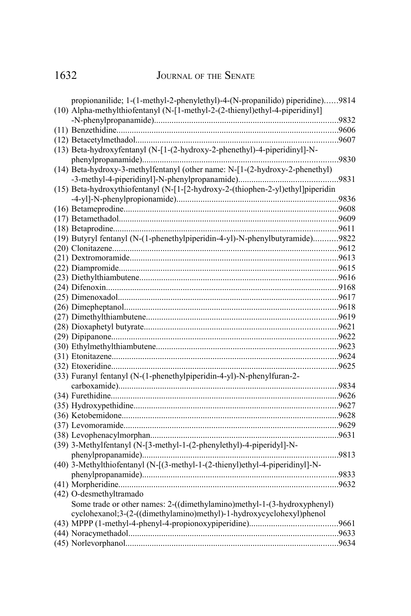# JOURNAL OF THE SENATE

| propionanilide; 1-(1-methyl-2-phenylethyl)-4-(N-propanilido) piperidine)9814    |  |
|---------------------------------------------------------------------------------|--|
| (10) Alpha-methylthiofentanyl (N-[1-methyl-2-(2-thienyl)ethyl-4-piperidinyl]    |  |
|                                                                                 |  |
|                                                                                 |  |
|                                                                                 |  |
| (13) Beta-hydroxyfentanyl (N-[1-(2-hydroxy-2-phenethyl)-4-piperidinyl]-N-       |  |
|                                                                                 |  |
| (14) Beta-hydroxy-3-methylfentanyl (other name: N-[1-(2-hydroxy-2-phenethyl)    |  |
|                                                                                 |  |
| (15) Beta-hydroxythiofentanyl (N-[1-[2-hydroxy-2-(thiophen-2-yl)ethyl]piperidin |  |
|                                                                                 |  |
|                                                                                 |  |
|                                                                                 |  |
|                                                                                 |  |
|                                                                                 |  |
| (19) Butyryl fentanyl (N-(1-phenethylpiperidin-4-yl)-N-phenylbutyramide)9822    |  |
|                                                                                 |  |
| .013.0013.mm/margin2013.pdf/                                                    |  |
|                                                                                 |  |
|                                                                                 |  |
|                                                                                 |  |
|                                                                                 |  |
|                                                                                 |  |
|                                                                                 |  |
|                                                                                 |  |
|                                                                                 |  |
|                                                                                 |  |
|                                                                                 |  |
|                                                                                 |  |
| (33) Furanyl fentanyl (N-(1-phenethylpiperidin-4-yl)-N-phenylfuran-2-           |  |
|                                                                                 |  |
|                                                                                 |  |
|                                                                                 |  |
|                                                                                 |  |
|                                                                                 |  |
|                                                                                 |  |
| (39) 3-Methylfentanyl (N-[3-methyl-1-(2-phenylethyl)-4-piperidyl]-N-            |  |
|                                                                                 |  |
| (40) 3-Methylthiofentanyl (N-[(3-methyl-1-(2-thienyl)ethyl-4-piperidinyl]-N-    |  |
|                                                                                 |  |
|                                                                                 |  |
| (42) O-desmethyltramado                                                         |  |
|                                                                                 |  |
| Some trade or other names: 2-((dimethylamino)methyl-1-(3-hydroxyphenyl)         |  |
| cyclohexanol;3-(2-((dimethylamino)methyl)-1-hydroxycyclohexyl)phenol            |  |
|                                                                                 |  |
|                                                                                 |  |
|                                                                                 |  |

1632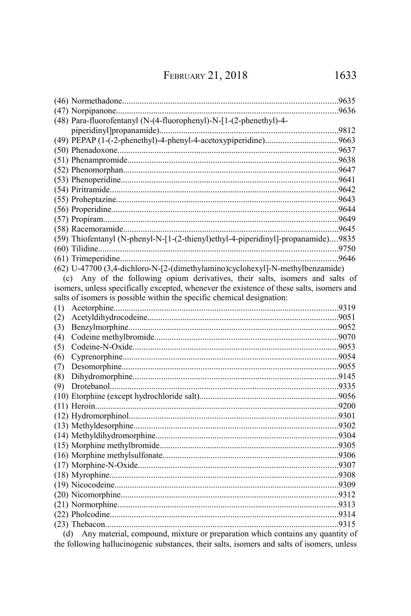FEBRUARY 21, 2018

| (48) Para-fluorofentanyl (N-(4-fluorophenyl)-N-[1-(2-phenethyl)-4-                         |  |
|--------------------------------------------------------------------------------------------|--|
|                                                                                            |  |
|                                                                                            |  |
|                                                                                            |  |
|                                                                                            |  |
|                                                                                            |  |
|                                                                                            |  |
|                                                                                            |  |
|                                                                                            |  |
|                                                                                            |  |
|                                                                                            |  |
|                                                                                            |  |
| (59) Thiofentanyl (N-phenyl-N-[1-(2-thienyl)ethyl-4-piperidinyl]-propanamide)9835          |  |
|                                                                                            |  |
|                                                                                            |  |
| (62) U-47700 (3,4-dichloro-N-[2-(dimethylamino)cyclohexyl]-N-methylbenzamide)              |  |
| Any of the following opium derivatives, their salts, isomers and salts of<br>(c)           |  |
| isomers, unless specifically excepted, whenever the existence of these salts, isomers and  |  |
| salts of isomers is possible within the specific chemical designation:                     |  |
| (1)                                                                                        |  |
| (2)                                                                                        |  |
| (3)                                                                                        |  |
| (4)                                                                                        |  |
| (5)                                                                                        |  |
| (6)                                                                                        |  |
| (7)                                                                                        |  |
| (8)                                                                                        |  |
| (9)                                                                                        |  |
|                                                                                            |  |
|                                                                                            |  |
|                                                                                            |  |
|                                                                                            |  |
|                                                                                            |  |
|                                                                                            |  |
|                                                                                            |  |
|                                                                                            |  |
|                                                                                            |  |
|                                                                                            |  |
|                                                                                            |  |
|                                                                                            |  |
|                                                                                            |  |
|                                                                                            |  |
| Any material, compound, mixture or preparation which contains any quantity of<br>(d)       |  |
| the following hallucinogenic substances, their salts, isomers and salts of isomers, unless |  |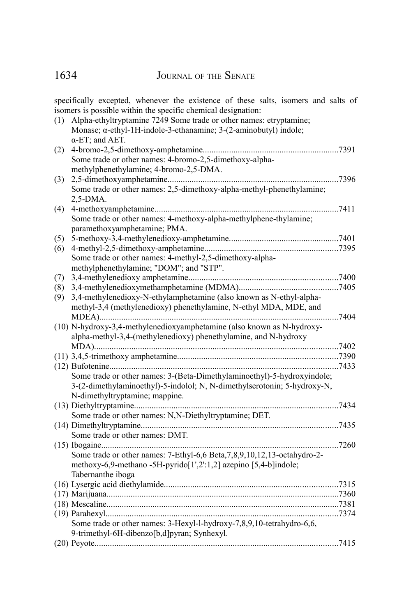1634 JOURNAL OF THE SENATE

specifically excepted, whenever the existence of these salts, isomers and salts of isomers is possible within the specific chemical designation:

| (1) | Alpha-ethyltryptamine 7249 Some trade or other names: etryptamine;                    |  |
|-----|---------------------------------------------------------------------------------------|--|
|     | Monase; $\alpha$ -ethyl-1H-indole-3-ethanamine; 3-(2-aminobutyl) indole;              |  |
|     | $\alpha$ -ET; and AET.                                                                |  |
| (2) |                                                                                       |  |
|     | Some trade or other names: 4-bromo-2,5-dimethoxy-alpha-                               |  |
|     | methylphenethylamine; 4-bromo-2,5-DMA.                                                |  |
| (3) |                                                                                       |  |
|     | Some trade or other names: 2,5-dimethoxy-alpha-methyl-phenethylamine;                 |  |
|     | 2,5-DMA.                                                                              |  |
| (4) |                                                                                       |  |
|     | Some trade or other names: 4-methoxy-alpha-methylphene-thylamine;                     |  |
|     | paramethoxyamphetamine; PMA.                                                          |  |
| (5) |                                                                                       |  |
| (6) |                                                                                       |  |
|     | Some trade or other names: 4-methyl-2,5-dimethoxy-alpha-                              |  |
|     | methylphenethylamine; "DOM"; and "STP".                                               |  |
| (7) |                                                                                       |  |
| (8) |                                                                                       |  |
| (9) | 3,4-methylenedioxy-N-ethylamphetamine (also known as N-ethyl-alpha-                   |  |
|     | methyl-3,4 (methylenedioxy) phenethylamine, N-ethyl MDA, MDE, and                     |  |
|     |                                                                                       |  |
|     | (10) N-hydroxy-3,4-methylenedioxyamphetamine (also known as N-hydroxy-                |  |
|     | alpha-methyl-3,4-(methylenedioxy) phenethylamine, and N-hydroxy                       |  |
|     |                                                                                       |  |
|     |                                                                                       |  |
|     |                                                                                       |  |
|     | Some trade or other names: 3-(Beta-Dimethylaminoethyl)-5-hydroxyindole;               |  |
|     | 3-(2-dimethylaminoethyl)-5-indolol; N, N-dimethylserotonin; 5-hydroxy-N,              |  |
|     | N-dimethyltryptamine; mappine.                                                        |  |
|     |                                                                                       |  |
|     | Some trade or other names: N,N-Diethyltryptamine; DET.                                |  |
|     |                                                                                       |  |
|     | Some trade or other names: DMT.                                                       |  |
|     |                                                                                       |  |
|     |                                                                                       |  |
|     | Some trade or other names: 7-Ethyl-6,6 Beta, 7, 8, 9, 10, 12, 13-octahydro-2-         |  |
|     | methoxy-6,9-methano -5H-pyrido[1',2':1,2] azepino [5,4-b]indole;<br>Tabernanthe iboga |  |
|     |                                                                                       |  |
|     |                                                                                       |  |
|     |                                                                                       |  |
|     |                                                                                       |  |
|     |                                                                                       |  |
|     | Some trade or other names: 3-Hexyl-l-hydroxy-7,8,9,10-tetrahydro-6,6,                 |  |
|     | 9-trimethyl-6H-dibenzo[b,d]pyran; Synhexyl.                                           |  |
|     |                                                                                       |  |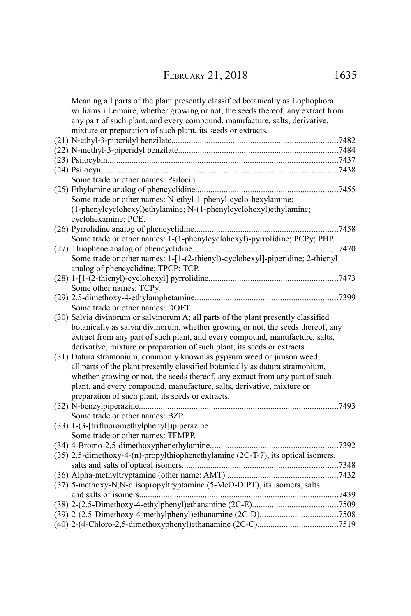| Meaning all parts of the plant presently classified botanically as Lophophora<br>williamsii Lemaire, whether growing or not, the seeds thereof, any extract from<br>any part of such plant, and every compound, manufacture, salts, derivative,<br>mixture or preparation of such plant, its seeds or extracts. |  |
|-----------------------------------------------------------------------------------------------------------------------------------------------------------------------------------------------------------------------------------------------------------------------------------------------------------------|--|
|                                                                                                                                                                                                                                                                                                                 |  |
|                                                                                                                                                                                                                                                                                                                 |  |
|                                                                                                                                                                                                                                                                                                                 |  |
|                                                                                                                                                                                                                                                                                                                 |  |
| Some trade or other names: Psilocin.                                                                                                                                                                                                                                                                            |  |
|                                                                                                                                                                                                                                                                                                                 |  |
| Some trade or other names: N-ethyl-1-phenyl-cyclo-hexylamine;                                                                                                                                                                                                                                                   |  |
| (1-phenylcyclohexyl)ethylamine; N-(1-phenylcyclohexyl)ethylamine;                                                                                                                                                                                                                                               |  |
| cyclohexamine; PCE.                                                                                                                                                                                                                                                                                             |  |
|                                                                                                                                                                                                                                                                                                                 |  |
| Some trade or other names: 1-(1-phenylcyclohexyl)-pyrrolidine; PCPy; PHP.                                                                                                                                                                                                                                       |  |
|                                                                                                                                                                                                                                                                                                                 |  |
| Some trade or other names: 1-[1-(2-thienyl)-cyclohexyl]-piperidine; 2-thienyl                                                                                                                                                                                                                                   |  |
| analog of phencyclidine; TPCP; TCP.                                                                                                                                                                                                                                                                             |  |
|                                                                                                                                                                                                                                                                                                                 |  |
| Some other names: TCPy.                                                                                                                                                                                                                                                                                         |  |
|                                                                                                                                                                                                                                                                                                                 |  |
| Some trade or other names: DOET.                                                                                                                                                                                                                                                                                |  |
| (30) Salvia divinorum or salvinorum A; all parts of the plant presently classified                                                                                                                                                                                                                              |  |
| botanically as salvia divinorum, whether growing or not, the seeds thereof, any                                                                                                                                                                                                                                 |  |
| extract from any part of such plant, and every compound, manufacture, salts,                                                                                                                                                                                                                                    |  |
| derivative, mixture or preparation of such plant, its seeds or extracts.                                                                                                                                                                                                                                        |  |
| (31) Datura stramonium, commonly known as gypsum weed or jimson weed;                                                                                                                                                                                                                                           |  |
| all parts of the plant presently classified botanically as datura stramonium,                                                                                                                                                                                                                                   |  |
| whether growing or not, the seeds thereof, any extract from any part of such                                                                                                                                                                                                                                    |  |
| plant, and every compound, manufacture, salts, derivative, mixture or                                                                                                                                                                                                                                           |  |
| preparation of such plant, its seeds or extracts.                                                                                                                                                                                                                                                               |  |
|                                                                                                                                                                                                                                                                                                                 |  |
| Some trade or other names: BZP.                                                                                                                                                                                                                                                                                 |  |
| (33) 1-(3-[trifluoromethylphenyl])piperazine                                                                                                                                                                                                                                                                    |  |
| Some trade or other names: TFMPP.                                                                                                                                                                                                                                                                               |  |
|                                                                                                                                                                                                                                                                                                                 |  |
| (35) 2,5-dimethoxy-4-(n)-propylthiophenethylamine (2C-T-7), its optical isomers,                                                                                                                                                                                                                                |  |
|                                                                                                                                                                                                                                                                                                                 |  |
|                                                                                                                                                                                                                                                                                                                 |  |
| (37) 5-methoxy-N,N-diisopropyltryptamine (5-MeO-DIPT), its isomers, salts                                                                                                                                                                                                                                       |  |
|                                                                                                                                                                                                                                                                                                                 |  |
|                                                                                                                                                                                                                                                                                                                 |  |
|                                                                                                                                                                                                                                                                                                                 |  |
|                                                                                                                                                                                                                                                                                                                 |  |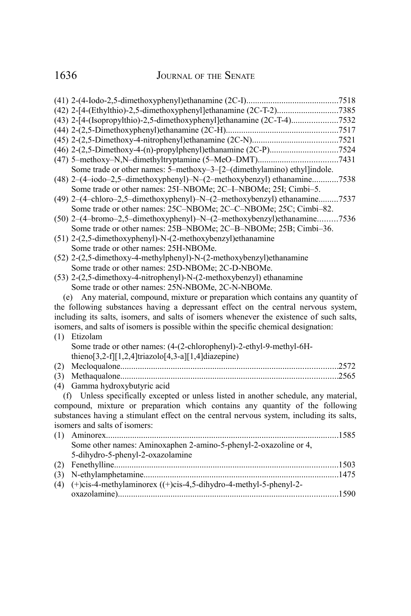1636 JOURNAL OF THE SENATE

|     | (43) 2-[4-(Isopropylthio)-2,5-dimethoxyphenyl]ethanamine (2C-T-4)7532                    |  |
|-----|------------------------------------------------------------------------------------------|--|
|     |                                                                                          |  |
|     |                                                                                          |  |
|     |                                                                                          |  |
|     |                                                                                          |  |
|     | Some trade or other names: 5-methoxy-3-[2-(dimethylamino) ethyl]indole.                  |  |
|     | (48) 2-(4-iodo-2,5-dimethoxyphenyl)-N-(2-methoxybenzyl) ethanamine7538                   |  |
|     | Some trade or other names: 25I-NBOMe; 2C-I-NBOMe; 25I; Cimbi-5.                          |  |
|     | (49) 2-(4-chloro-2,5-dimethoxyphenyl)-N-(2-methoxybenzyl) ethanamine7537                 |  |
|     | Some trade or other names: 25C-NBOMe; 2C-C-NBOMe; 25C; Cimbi-82.                         |  |
|     | (50) 2-(4-bromo-2,5-dimethoxyphenyl)-N-(2-methoxybenzyl)ethanamine7536                   |  |
|     | Some trade or other names: 25B-NBOMe; 2C-B-NBOMe; 25B; Cimbi-36.                         |  |
|     | (51) 2-(2,5-dimethoxyphenyl)-N-(2-methoxybenzyl)ethanamine                               |  |
|     | Some trade or other names: 25H-NBOMe.                                                    |  |
|     | (52) 2-(2,5-dimethoxy-4-methylphenyl)-N-(2-methoxybenzyl)ethanamine                      |  |
|     | Some trade or other names: 25D-NBOMe; 2C-D-NBOMe.                                        |  |
|     | (53) 2-(2,5-dimethoxy-4-nitrophenyl)-N-(2-methoxybenzyl) ethanamine                      |  |
|     | Some trade or other names: 25N-NBOMe, 2C-N-NBOMe.                                        |  |
|     | Any material, compound, mixture or preparation which contains any quantity of<br>(e)     |  |
|     | the following substances having a depressant effect on the central nervous system,       |  |
|     | including its salts, isomers, and salts of isomers whenever the existence of such salts, |  |
|     | isomers, and salts of isomers is possible within the specific chemical designation:      |  |
| (1) | Etizolam                                                                                 |  |
|     | Some trade or other names: (4-(2-chlorophenyl)-2-ethyl-9-methyl-6H-                      |  |
|     | thieno[3,2-f][1,2,4]triazolo[4,3-a][1,4]diazepine)                                       |  |
| (2) |                                                                                          |  |
| (3) |                                                                                          |  |
| (4) | Gamma hydroxybutyric acid                                                                |  |
|     | (f) Unless specifically excepted or unless listed in another schedule, any material,     |  |
|     | compound, mixture or preparation which contains any quantity of the following            |  |
|     | substances having a stimulant effect on the central nervous system, including its salts, |  |
|     | isomers and salts of isomers:                                                            |  |
| (1) | Aminorex<br>1585                                                                         |  |
|     | Some other names: Aminoxaphen 2-amino-5-phenyl-2-oxazoline or 4,                         |  |
|     | 5-dihydro-5-phenyl-2-oxazolamine                                                         |  |
| (2) |                                                                                          |  |
| (3) |                                                                                          |  |
| (4) | $(+)$ cis-4-methylaminorex $((+)$ cis-4,5-dihydro-4-methyl-5-phenyl-2-                   |  |
|     |                                                                                          |  |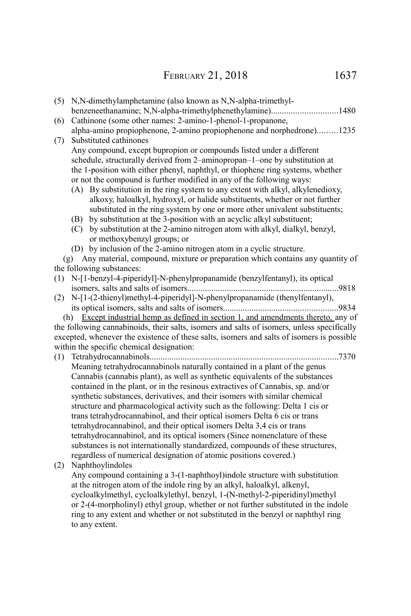(5) N,N-dimethylamphetamine (also known as N,N-alpha-trimethylbenzeneethanamine; N,N-alpha-trimethylphenethylamine)..............................1480 (6) Cathinone (some other names: 2-amino-1-phenol-1-propanone, alpha-amino propiophenone, 2-amino propiophenone and norphedrone).........1235 (7) Substituted cathinones Any compound, except bupropion or compounds listed under a different schedule, structurally derived from 2–aminopropan–1–one by substitution at the 1-position with either phenyl, naphthyl, or thiophene ring systems, whether or not the compound is further modified in any of the following ways: (A) By substitution in the ring system to any extent with alkyl, alkylenedioxy, alkoxy, haloalkyl, hydroxyl, or halide substituents, whether or not further substituted in the ring system by one or more other univalent substituents; (B) by substitution at the 3-position with an acyclic alkyl substituent; (C) by substitution at the 2-amino nitrogen atom with alkyl, dialkyl, benzyl, or methoxybenzyl groups; or (D) by inclusion of the 2-amino nitrogen atom in a cyclic structure. (g) Any material, compound, mixture or preparation which contains any quantity of the following substances: (1) N-[1-benzyl-4-piperidyl]-N-phenylpropanamide (benzylfentanyl), its optical isomers, salts and salts of isomers.....................................................................9818 (2) N-[1-(2-thienyl)methyl-4-piperidyl]-N-phenylpropanamide (thenylfentanyl), its optical isomers, salts and salts of isomers....................................................9834 (h) Except industrial hemp as defined in section 1, and amendments thereto, any of the following cannabinoids, their salts, isomers and salts of isomers, unless specifically excepted, whenever the existence of these salts, isomers and salts of isomers is possible within the specific chemical designation: (1) Tetrahydrocannabinols......................................................................................7370 Meaning tetrahydrocannabinols naturally contained in a plant of the genus Cannabis (cannabis plant), as well as synthetic equivalents of the substances contained in the plant, or in the resinous extractives of Cannabis, sp. and/or synthetic substances, derivatives, and their isomers with similar chemical structure and pharmacological activity such as the following: Delta 1 cis or trans tetrahydrocannabinol, and their optical isomers Delta 6 cis or trans

tetrahydrocannabinol, and their optical isomers Delta 3,4 cis or trans tetrahydrocannabinol, and its optical isomers (Since nomenclature of these substances is not internationally standardized, compounds of these structures, regardless of numerical designation of atomic positions covered.)

(2) Naphthoylindoles

Any compound containing a 3-(1-naphthoyl)indole structure with substitution at the nitrogen atom of the indole ring by an alkyl, haloalkyl, alkenyl, cycloalkylmethyl, cycloalkylethyl, benzyl, 1-(N-methyl-2-piperidinyl)methyl or 2-(4-morpholinyl) ethyl group, whether or not further substituted in the indole ring to any extent and whether or not substituted in the benzyl or naphthyl ring to any extent.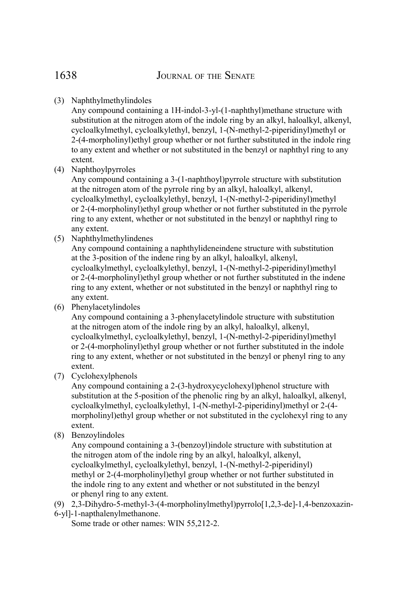# (3) Naphthylmethylindoles

Any compound containing a 1H-indol-3-yl-(1-naphthyl)methane structure with substitution at the nitrogen atom of the indole ring by an alkyl, haloalkyl, alkenyl, cycloalkylmethyl, cycloalkylethyl, benzyl, 1-(N-methyl-2-piperidinyl)methyl or 2-(4-morpholinyl)ethyl group whether or not further substituted in the indole ring to any extent and whether or not substituted in the benzyl or naphthyl ring to any extent.

(4) Naphthoylpyrroles

Any compound containing a 3-(1-naphthoyl)pyrrole structure with substitution at the nitrogen atom of the pyrrole ring by an alkyl, haloalkyl, alkenyl, cycloalkylmethyl, cycloalkylethyl, benzyl, 1-(N-methyl-2-piperidinyl)methyl or 2-(4-morpholinyl)ethyl group whether or not further substituted in the pyrrole ring to any extent, whether or not substituted in the benzyl or naphthyl ring to any extent.

(5) Naphthylmethylindenes

Any compound containing a naphthylideneindene structure with substitution at the 3-position of the indene ring by an alkyl, haloalkyl, alkenyl, cycloalkylmethyl, cycloalkylethyl, benzyl, 1-(N-methyl-2-piperidinyl)methyl or 2-(4-morpholinyl)ethyl group whether or not further substituted in the indene ring to any extent, whether or not substituted in the benzyl or naphthyl ring to any extent.

(6) Phenylacetylindoles

Any compound containing a 3-phenylacetylindole structure with substitution at the nitrogen atom of the indole ring by an alkyl, haloalkyl, alkenyl, cycloalkylmethyl, cycloalkylethyl, benzyl, 1-(N-methyl-2-piperidinyl)methyl or 2-(4-morpholinyl)ethyl group whether or not further substituted in the indole ring to any extent, whether or not substituted in the benzyl or phenyl ring to any extent.

(7) Cyclohexylphenols

Any compound containing a 2-(3-hydroxycyclohexyl)phenol structure with substitution at the 5-position of the phenolic ring by an alkyl, haloalkyl, alkenyl, cycloalkylmethyl, cycloalkylethyl, 1-(N-methyl-2-piperidinyl)methyl or 2-(4 morpholinyl)ethyl group whether or not substituted in the cyclohexyl ring to any extent.

(8) Benzoylindoles

Any compound containing a 3-(benzoyl)indole structure with substitution at the nitrogen atom of the indole ring by an alkyl, haloalkyl, alkenyl, cycloalkylmethyl, cycloalkylethyl, benzyl, 1-(N-methyl-2-piperidinyl) methyl or 2-(4-morpholinyl)ethyl group whether or not further substituted in the indole ring to any extent and whether or not substituted in the benzyl or phenyl ring to any extent.

(9) 2,3-Dihydro-5-methyl-3-(4-morpholinylmethyl)pyrrolo[1,2,3-de]-1,4-benzoxazin-6-yl]-1-napthalenylmethanone.

Some trade or other names: WIN 55,212-2.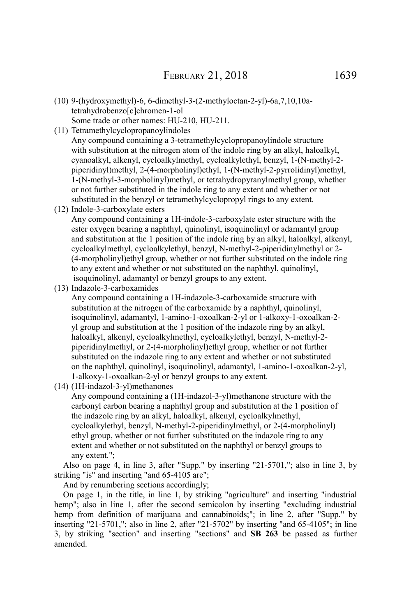- (10) 9-(hydroxymethyl)-6, 6-dimethyl-3-(2-methyloctan-2-yl)-6a,7,10,10atetrahydrobenzo[c]chromen-1-ol Some trade or other names: HU-210, HU-211.
- (11) Tetramethylcyclopropanoylindoles

Any compound containing a 3-tetramethylcyclopropanoylindole structure with substitution at the nitrogen atom of the indole ring by an alkyl, haloalkyl, cyanoalkyl, alkenyl, cycloalkylmethyl, cycloalkylethyl, benzyl, 1-(N-methyl-2 piperidinyl)methyl, 2-(4-morpholinyl)ethyl, 1-(N-methyl-2-pyrrolidinyl)methyl, 1-(N-methyl-3-morpholinyl)methyl, or tetrahydropyranylmethyl group, whether or not further substituted in the indole ring to any extent and whether or not substituted in the benzyl or tetramethylcyclopropyl rings to any extent.

(12) Indole-3-carboxylate esters

Any compound containing a 1H-indole-3-carboxylate ester structure with the ester oxygen bearing a naphthyl, quinolinyl, isoquinolinyl or adamantyl group and substitution at the 1 position of the indole ring by an alkyl, haloalkyl, alkenyl, cycloalkylmethyl, cycloalkylethyl, benzyl, N-methyl-2-piperidinylmethyl or 2- (4-morpholinyl)ethyl group, whether or not further substituted on the indole ring to any extent and whether or not substituted on the naphthyl, quinolinyl, isoquinolinyl, adamantyl or benzyl groups to any extent.

(13) Indazole-3-carboxamides

Any compound containing a 1H-indazole-3-carboxamide structure with substitution at the nitrogen of the carboxamide by a naphthyl, quinolinyl, isoquinolinyl, adamantyl, 1-amino-1-oxoalkan-2-yl or 1-alkoxy-1-oxoalkan-2 yl group and substitution at the 1 position of the indazole ring by an alkyl, haloalkyl, alkenyl, cycloalkylmethyl, cycloalkylethyl, benzyl, N-methyl-2 piperidinylmethyl, or 2-(4-morpholinyl)ethyl group, whether or not further substituted on the indazole ring to any extent and whether or not substituted on the naphthyl, quinolinyl, isoquinolinyl, adamantyl, 1-amino-1-oxoalkan-2-yl, 1-alkoxy-1-oxoalkan-2-yl or benzyl groups to any extent.

(14) (1H-indazol-3-yl)methanones

Any compound containing a (1H-indazol-3-yl)methanone structure with the carbonyl carbon bearing a naphthyl group and substitution at the 1 position of the indazole ring by an alkyl, haloalkyl, alkenyl, cycloalkylmethyl, cycloalkylethyl, benzyl, N-methyl-2-piperidinylmethyl, or 2-(4-morpholinyl) ethyl group, whether or not further substituted on the indazole ring to any extent and whether or not substituted on the naphthyl or benzyl groups to any extent.";

Also on page 4, in line 3, after "Supp." by inserting "21-5701,"; also in line 3, by striking "is" and inserting "and 65-4105 are";

And by renumbering sections accordingly;

On page 1, in the title, in line 1, by striking "agriculture" and inserting "industrial hemp"; also in line 1, after the second semicolon by inserting "excluding industrial hemp from definition of marijuana and cannabinoids;"; in line 2, after "Supp." by inserting "21-5701,"; also in line 2, after "21-5702" by inserting "and 65-4105"; in line 3, by striking "section" and inserting "sections" and **SB 263** be passed as further amended.